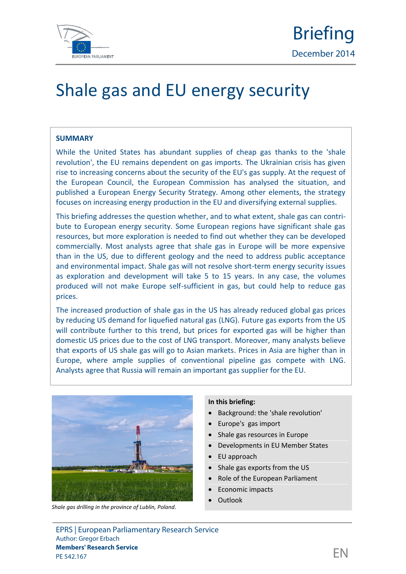

# Shale gas and EU energy security

#### **SUMMARY**

While the United States has abundant supplies of cheap gas thanks to the 'shale revolution', the EU remains dependent on gas imports. The Ukrainian crisis has given rise to increasing concerns about the security of the EU's gas supply. At the request of the European Council, the European Commission has analysed the situation, and published a European Energy Security Strategy. Among other elements, the strategy focuses on increasing energy production in the EU and diversifying external supplies.

This briefing addresses the question whether, and to what extent, shale gas can contri bute to European energy security. Some European regions have significant shale gas resources, but more exploration is needed to find out whether they can be developed commercially. Most analysts agree that shale gas in Europe will be more expensive than in the US, due to different geology and the need to address public acceptance and environmental impact. Shale gas will not resolve short-term energy security issues as exploration and development will take 5 to 15 years. In any case, the volumes produced will not make Europe self-sufficient in gas, but could help to reduce gas prices.

The increased production of shale gas in the US has already reduced global gas prices by reducing US demand for liquefied natural gas (LNG). Future gas exports from the US will contribute further to this trend, but prices for exported gas will be higher than domestic US prices due to the cost of LNG transport. Moreover, many analysts believe that exports of US shale gas will go to Asian markets. Prices in Asia are higher than in Europe, where ample supplies of conventional pipeline gas compete with LNG. Analysts agree that Russia will remain an important gas supplier for the EU.



*Shale gas drilling in the province of Lublin, Poland.*

#### **In this briefing:**

- Background: the 'shale revolution'
- Europe's gas import
- Shale gas resources in Europe
- Developments in EU Member States
- EU approach
- Shale gas exports from the US
- Role of the European Parliament
- Economic impacts
- Outlook

EPRS | European Parliamentary Research Service Author: Gregor Erbach **Members' Research Service** members Research Service<br>PE 542.167  $\Box$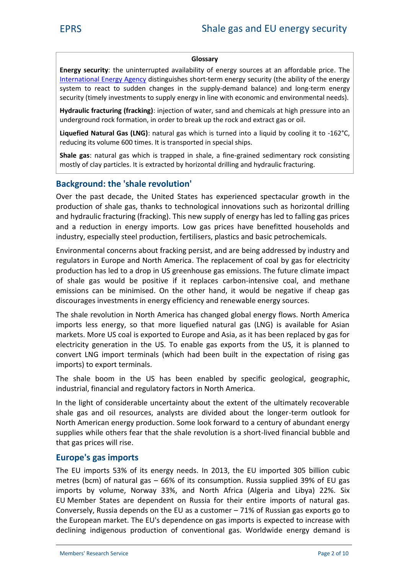#### Glossary

Energy sethus itum interrupted availability of energy south [International En](http://www.iea.org/topics/energysecurity/subtopics/whatisenergysecurity/)edrics  $\psi$  in Aggueins of the energy and the ability of system to react to suiondeline changes in the supply supply and energy supply and  $en$ secur (timely investments to supply enerany dim virone mweith ad

Hydraulic fracturining (eforta onlined) water, sand and chemical underground formation, in order to break up the rock a

Liquefied Naturaln Gabusra (LNg Gas) which his taurliquid by -160209 reducing its volume 600 times. It is transported in spe

Shale gas ural gas which is trappen the shale dimentary shaller  $\alpha$ mostly of clay particles. It is derxitrian conteach obyhyhod raizud inctafinal

#### Background: the 'shale revolution'

Over the past decade, the substrate iden States despectacular growth production of shale gas, thanks to technological innovation and hyderaulaicturing (fracking). This new supply of energy ha and a reduncetion gy imports. Low gas prices have benefitte industry, especially steel production, fertilisers, plastics and

Envimoental concerns about fracking persist, and are being a regulator Europe and Northh Amepilax ement of coal by gas for production has led to a drop in US greenhouse gas emission ofshale gas would be positioveerbiofmitien seivoelace and methane emissions can be minimised. On the other hand, it would discourages investments in energy efficiency and renewable

The shale reivno Nudrohn America has changed global energy flo imports less energy, so that more liquefied natural gas ( marke Mosibs coal is exported to Europe and Asia, as it has been allested by marke  $\mathbb N$ electricity tiopenne mathe US. To enable gas exports from the convert LNG import terminals (which had been built in the imports) to export terminals.

The shale boom in the US has been enabled  $b$ iv, specific industrial, financial and regulatory factors in North America.

In the light of considerable uncertainty about the extent of shale gas and oil resources, analysts are moliovind boob kabout the longer of North Americany production. Some look forward to a century supplwiehsil theers fear that the shale reiveneld financhial and thuc brible thadas prices will rise

#### $E$  u r o poed  $\sin p$  os r t

The EU im5 $\beta$ o / its energy 280 des. EU imported 305 billion metres (bcm) of  $n$ **a6** $0$ **% ad foganssumptions** sia supplied 39% of E imports by volume, NaondwaNyor3t8%, Africa (Algeria Sainxd Libya EUMember States are dependent on Romunis for the eurad nigiase Conversely sia depenEds son the toth of Russian gas exports go the European market. The EU's depenxplencted innorgenesse importunits declining indigenous production of coenventeriony adeograssend Wier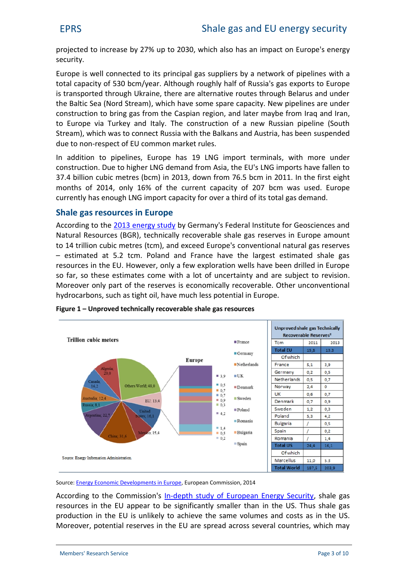$\mathsf{project}$  centeresse up to  $22073\%$  , wah lisohasanimpacch  $\mathsf{Europe}$ 's energy security.

Europe is well conporein to the interpliers by a network of pipel total capa5c3t0byconf/yeaArIthoruoguhg hhlayflof Ru'ssgasexports to Europe is transported through Ukraine, there are alternative routes the Baltic Sea (Now dishibame) some spare capacity. New pipelines are under an example and the Baltic Sea construction to bring gas from the Caatseprian reneage idfrom ma to Europe via Turkethe ant intuativon of a new Russian pipeling Stream), which was to connect Russia with the spehkdands and due to-mecsipect of EU common market rules.

In addition to pipelines!  $9$  LENUG opmep on rats terminit mhalms ore under construculion to ehrlight G demand from Asia, the EU's LNG import  $37.4$  bioluibing metreisn ( $\sqrt{20.00}$  ) which romb  $\vec{\sigma}$  10.15 and 1.1 he of ingshtt month of 2014, only 1c6u% reonft tohaepacitby crowfas2uGs7edE.urope current tas enough LNG import capacity of a total gas a rad third of its

#### Shale gas resources in Europe

Accordint hold to the ready study any's Federal Institute for Geoscience and and the control of  $\alpha$ Natural Resourctes chiBiGcRINy recoveraets leervs chasilien of Eaus rope amou to 41trillion cubicteme tarreds exceed chonvoepnetional natural gas res estimated atm  $\theta$ .  $\Omega$  and and France have the largest estim resources in Htchwee Eugebnily a few exploration wells have been dr so f,asnothese estimates come with yaanloatreo.fsw.konjoeecrttation.trevision Moreover only part of selve prema e radisy recoverable. Other unco hydrocarbons, such as tight oil, have much less potential in Figute Unproved technically recoverable shale gas resources

Sour [Energy Economic Develo](http://ec.europa.eu/economy_finance/publications/european_economy/2014/pdf/ee1_en.pdf)p **Europe Source** ission, 2014

According to the Clonomen pitsh sisothu'dsy of European shale eggas ecuri resources in the EU appear to be sing metile Sant Tyhus smahlæl rethanger  $p \cdot o$  ductinonthe is  $E$  Uunlikealoyhiteathee samonelumes and sionosthse. US . Moreovepotential riesterre and read ross several countries, which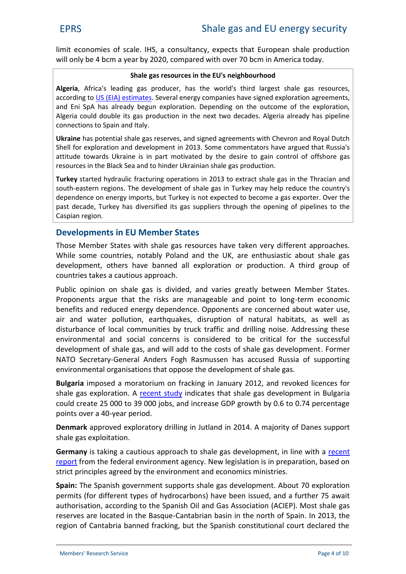limit conomits scalle . a consultancy, expects that European will only bome  $4$ ear by 2020, compabecomin America  $70$  day.

#### Shalæs gresourtchees Euble's ghbhocuord

Alge, ria frica's leading gas producer, has the world's third lar accordinu $\beta$  to Election at Sieveral energy componenties x phasore tion agreements and  $E \nrightarrow R$  already begun exploration. Depending on the outcome of the set of the set of the set of the exploration. Algeria could double its gas production in the next two decades connections to Spain and Italy.

Ukraimæpotential shale gas reserves, and signed agreements with Shell for exploration and 2d0e1\Seolmopermecommomentators have argued that Russia's Russia's Russia's Russia's attitude towards Ukraine is in part motivated by othe desire to resources in the Black Sea and to hinder Ukrainian shalle gas pro

Turkey arted hydraulic fracturing operations in the 13 htmace and macridshale gas in the Thracian and Thracian and  $\epsilon$ soutehastern regTihoensdevelopment of shale gas in hTeurckoe uyn hang yshelp dependence on energy imports, but Turkey is not expected to be past decade, Turkey has diversified its gas suppliers through t Caspian region.

#### Developmen EU Member States

Thos Weember States with shale gas resourched approbaches.e While somentries stably Poland and the UK, are enthusiastic development, others have banned all exploration or produ countries tankue so as approach.

Public opinion on shale gas is divided, and varies greatly Proponents argue that the risks are managreable and point benefits read udceendergy depe  $\Omega$  opponents are concerned eabout wa air and water pollution, earthquakes, disruption of natu disturbance of local communities by truck traffic and drill environmental and social con**ternerits cab nissidetreed** success development of shale gas, and will add to the Foomstes of sha NATGecret-Geener Anders Fogh Rhasmussoschaus of a supporting environmental osthantiscaptionse the development of shale gas.

Bulgainmia posed atomroium on fina collainning ary a2n0d1 2 evoked licences for shale gas explroer cand n singled pates that shale gas development could create  $25039$  jobs, and increase GDP growth by  $0.6$  to points oveyre ar 4p0e riod.

 $D$ enmaar $x$  provee $x$   $\phi$  lorad oirly iim quatli an 20 A 4 m ajority of Danes support shale gas exploitation.

Germains y taking auscaup tpipo ach to dselve lep graniem tline weide hat [rep](http://www.umweltbundesamt.de/en/press/pressinformation/regulate-fracking-now)ofitom the federal environment agency is in preparation, strict preisncaig te tehology ironment and economics ministries.

Spainh Spanish government supports shabeut  $q$  as deaped optiment. permits (for different typ**s) is** a oute hby eden or the stand than the r 75 await authoris, a obsident of ind  $\delta$  on the Sepant of Tand Gas A A  $\delta$  &  $\delta$  and the pasition of and  $\delta$ reserves are located Ciannthe bribans op was in in the nord of the Sepain. region of Cantabria banned fracking, but the Spanish constitution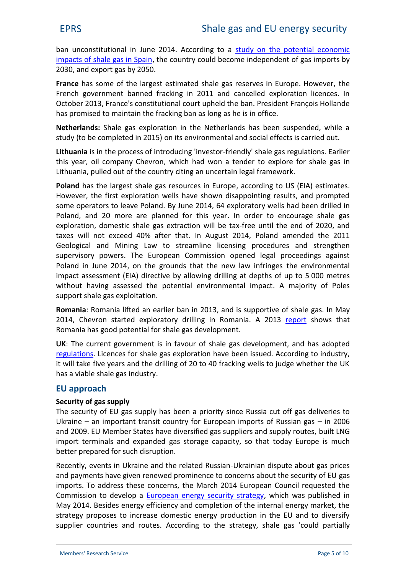ban unconstitution ea 2 Ant tording [study on the poten](http://aciep.com/sites/default/files/multimedia/20140307_-_impacto_economico_desarrollo_ep_-_aciep.pdf)tial econo impacts of shale,  $g$ the in  $\theta$  paring could become indet pse by dent of  $2030$ nd export gas by  $2050$ .

Franbas some of the largest estimated shale gabheeserves French gove banne  $\theta$  dacking 2011 and cancelled exploration  $\theta$ October 2013, France's constitutional compart Francelan constitution has promised to maintain the fracking ban as long as he is

Netherla<sup>nds</sup> and gas exploration in the Netherlands has been study to be completed  $\ln$  itsen  $2\cdot 0$  if  $5\,$  mental and tspissiare a effifeed out.

Lithuainsiain the process of intefordeundoshing a leingy aess troergulations. Early  $\overline{\phantom{a}}$ this year, oil compay my chiandew root me, nader to explore fionr shale d Lithuania, pulled out cotfinity earo ournect pear the contramework

Polands the largest shale gas , reascocuorrode is ginto EUIS of (EIA) estimates . However, the first exploration wells have shown disappoint some operators to lEeyayleunPeol $240n$ 1e44x,ploratoryd wie-elns onliailled in Poland, and 20 more are planimed refor this encontrage shale exploration, domestic shawlell ghanes treewentraint the end onland taxewsill not e:4:06% edafttheartin August P2o01ta4na,dmended 210h1e1 Geological and La Mito is rtoge am Ilincensing procent distures at hen supervisory .  $\overline{p}$  to we Esuropean Commission opened legal proc Poland in June 2014, on the grounds the the irmen melateling  $im$  pact asstes  $\frac{1}{2}$   $\frac{1}{2}$  for  $k$ ) dibey call  $k$  end in depths  $i$  and  $j$   $k$  of  $0$  fo  $0$  metres without aving assessed the potential .eAn virrapinomental iPhoplaeost support shale gas exploitation.

RomanRamania lifted an earlier ban in 2018, gaal snd Maysupport 2014, Chevron staptrey**d** rioe bijon populari RA m2a 0nti**a** posthows that Romania has good potential for shale gas development.

UKThe urrent government is shale age ard of velopmæchot ptandd has [regula](https://www.gov.uk/government/policies/providing-regulation-and-licensing-of-energy-industries-and-infrastructure/supporting-pages/developing-shale-gas-and-oil-in-the-uk)tions nice is shagas exploration have been issued. According to industry, the same of industry and the s it will take five years and the drilling of 20 to 40 fracking w has a viable shale gas industry .

#### EU approach

Security of gas supply

The security of EU gesens apporing milal passinace cut off gas deliveries Ukrainæn important transit country for Europeam 2006 of and 2009. EU Member States have diversified by also Suppliers import terminals angolasexsptannralend capaciotoly a Elysio o plematusch betterre pared for such disruption.

Recently ents in Ukraine and the Ukreatent each Polispuate about gas and payments have given renewed prominence togwoncerns a imports. To address theses  $\mathbf{d}$  apon  $\mathbf{d}$  as  $\mathbf{d}$  European Council requested the  $\mathbf{d}$ Commission to **Elevepepana** energy secu**winti**y chstwants pow blished in May 20Ble4sideense rgy efficiency and completion of the internal strategy proposes to increase domestic energy production supplier countries Aecordo roding to the strategy, dsparteied ays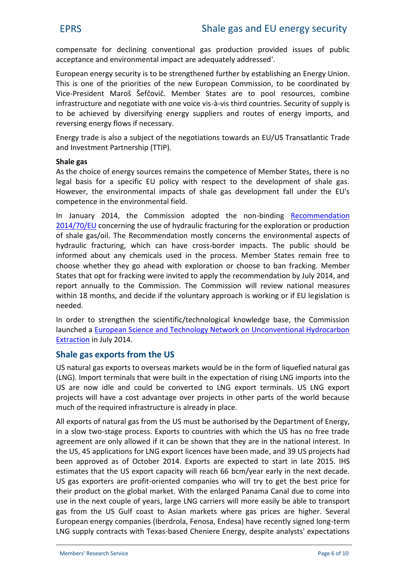compensate ino ing deconventional gas production provided is acceptance and environmental impact'are adequately addres

European energy security is fut ot httpeer sets tean bod the strength aimon. This is one of the priorities and Chemmiss in Engrato be coordinated by  $\overline{a}$ VicePresident Maroa Meemfboevri States are to pool resources infrastructure and negotiat $\hat{\mathbf{e}}$ -wisthhombe copulaterive is. Security of to be achieved by diversifying energy suppliers and route revens energy flows if necessary.

Energy trade is also a subjetot woafradinseEble by SotiTantions satlantic Transations and Europe and Europe and E and Investment Partnership (TTIP).

#### Shale gas

As the choice of energy sources remains the competence of legablasis for a specific EU policy with respect to the dev Howevere environmental impacts of shale gas development competence in the environmental field.

In January 2014, the Commissio-bnin**din<del>Bue</del>teed miniteed antoin** [2014/7](http://eur-lex.europa.eu/legal-content/EN/TXT/?qid=1414517831579&uri=CELEX:32014H0070)0/EU concerning the use of hydraulic fracturing for the exploration or production of shale gas/oil. The Recommendate environmental and naspects of hydraulic fracturing, which ocdear himpace cotrisos of he public sho informed about any chemicals useend be that the emparion cesse. Mo chooswehethtehrey go ahead with exploration or gcellunoseer to ban States adpt ffor acking were invited to apply the recommendation report annually to the C**Commmissisonich** rTehveew national measures within 18 months, and decide if the voluntargisleation cits is w needed.

In order to strengthen the scientific/technological knowled launched rapean Science and Technology Network on Unconv [Extrac](https://ec.europa.eu/jrc/en/uh-network)tinion in 2014.

#### Shale gas exports from the US

US natural gas exports tow ouled sbeeas nmtahreket barm of lique fied n  $(LN)$   $\Box$  That is that import terminimation that in the expectation of intics it the the LNG importance in USare now idle and could to LoNG vert port terminals. US LN projects will have a cost advantage over projects in other much of the required infrastructure is already in place.

All exports of natural gas from the US must be caful Engerigs yed by in a slowstawge process. Exports to countries with which the agreement are only allowed if it can be shown thant they are the U4S-applications for LNG export licencesed Shapve heade tesn made been appraces of dO ctober Ex2n0 dr4ts are exposet at totin la5t ot H2S01 estimates that the US export  $\phi$  a property evailly repart the  $\phi$   $\phi$  ext dec US gas exporter-oriented octompanies who whill best to rice for theirproduct on the gloWbiath mtelannellaed toPeana manufacture to come into use in the next co,updegefLyNeCars amorierse alwealling ble to transport gas from t**GuelfololSast to Asian whearreked as apreiche isg See veral** European energy companies (Iberdrola, Fenosa, termodesa) ha LNG supply contrachias weidth C The massre Energy, despite analysts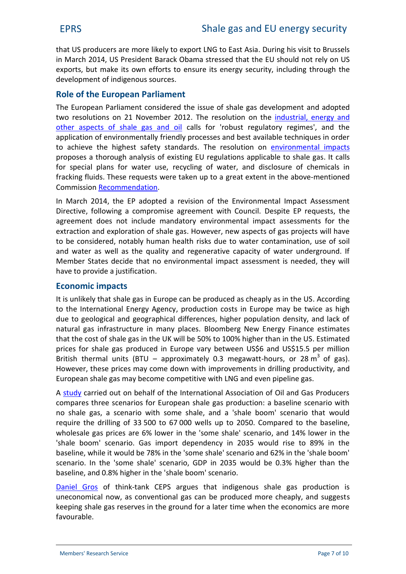that US produncoemlesk are to export LN.GD ution of ansits Arissiant to Brussels inMarc2h014, PUtSisidBeannta Obbama stressheed EShblaotuld not rely on US  $\exp$  orts, make its own eefnormets to enguatiny, indiffung outghthe development of indigenous sources.

### Role of the Euroipaemaenn P

The European Parliament considered the issue and adopted gaster and adopted and adopted and and adopted and adopted and adopted and and adopted and adopted and and adopted and and adopted and adopted and and adopted and ad tworesolustion  $2n + 1$  November T2hOe1 2 escolnutthinedustriean lergy and othe[aspects of shale](http://www.europarl.europa.eu/sides/getDoc.do?type=TA&reference=P7-TA-2012-0444&language=EN) gabisand oribbust regulatory regimes application of envirionmodely trandly cesses and best available tech to achieve the highest sTaffi**e**tyresstoalnondiexornodismoon meimon paalcts. propose hso a ough anael wiss its Enlot pregustation bricable to shta ceal gas . for special plans for ecoy at erguse, water, and disclosure of fracking fluids. These requesdese were tenttak behind were hotioned  $C$  om m is  $\bf{R}$  is example  $\bf{R}$  is the multiple nducts of  $\bf{R}$ 

In March 2014, the Eleviasdopted the Environmental Impact [Direc](http://www.europarl.europa.eu/sides/getDoc.do?type=TA&language=EN&reference=P7-TA-2014-0225)tive  $\Box$  illowing a compromise agreed ensement the endependencil. agreement does not anichat durche environmental impact assessments for the mandatory and the mandators assessm extraction dexploration. O Hoswheavier ganse w aspects of gas projed to beconsider recodtably humanis kolse aeltho water incaotniolanm use of soil and water as well as the quality and regenerative capacit Member at  $ets$  cident  $as$   $i$  the  $j$  that  $i$  shows are not also imposes ontent is needed, they have ptroovide a justification

#### Economic impacts

It is unlikely altehagtas in Europe can be produced cacsorochienaply as to the International Eportenchanguar takagone hocosysts in Europe may be twi due too go gical and geographical differences, higher popula natural ngfanas tructure in mBalnoyo mpblaeorejs. New EneersytyimFaitnees.nce that the cscheatien  $\mathbf{\dot{g}}$  at she UK 5001% boe 100% higher. Ensationian toto LUS prices for s**hade ugass Europe** vary between US\$6 and US\$15 British theenintal (BTapproximately 0.3 homuse  $g$ ana  $\frac{\partial^2 u}{\partial x^2}$  of g)as Howevere, se prices may comime polowen muve in this in drii viliting and roduc European shale gas may become competitive with LNG and  $\epsilon$ 

[Astu](http://www.poyry.co.uk/sites/poyry.co.uk/files/public_report_ogp__v5_0.pdf)durried out on behalf of the International Association compares three scenarios for European shale gas production no shale gas, io a wsith a some shale, and a 'shale boom' scen require the drilling of 33500to67000 wells up to2050. Compared to the baseline, wholesale gas  $\epsilon$  profit  $\frac{1}{2}$  wholesale gas reprofit  $\frac{1}{2}$  is  $\frac{1}{2}$  in the  $\frac{1}{2}$  wholesale gas reprofit  $\frac{1}{2}$  is  $\frac{1}{2}$  in the  $\frac{1}{2}$ 'shale boom' sceimapoot Gasendency in 2035 would rise to baseline, while it would be 78% in the 'some shale' scenario scenario. In the 'some shale' scenario, GDP in 2035 woul  $b$  as eline, and  $0.8\%$  shall be boomthe c'enario.

[Daniel](http://www.ceps.eu/book/should-europe-be-fracking) Grobsint an CEPS argues that indigenous shale gas uneconamic as conventional gas can be produceed more cheaply keepishipale gas reserves in the ground for a later time when favourable.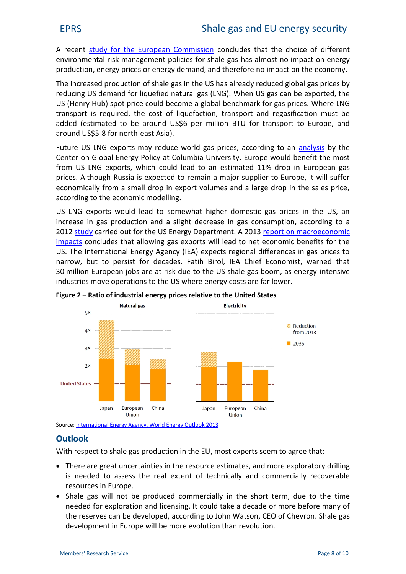A recentuldy for the Europeacon Columdres is sthoart the diffeoriec ret of environmental risk management hpacallincoicesst froor is rhanalect gas ener production, ense rogry epp reiclogy demand, naon **phra**tohte poenfothoe economy

The increased production of shaallnee agoalys riendtuhoeedUS globabal gas p reducing US demand for liquefWebdematUG radassas ahLNG)exported USH (enry )stpot price could become a global behome a behavior for gases. transpics rtrequinte de cost of lique and point and regasification m added (estimated to be amolund TUS\$ draps port to Europe, and  $\theta$  $around$   $48$   $Sf$ \$ $5$   $n$ - $e$   $a$   $s$  $t$   $A$   $s$   $i$  $a$  $)$ .

Future US LNG exports may reduce worldargaalsybspy sitchees, acco Center on Global Eante  $C$  g yu Phoblic x U Energy and all benefit the most controller and  $C$ from US LNG expootuslige avohit cole satrimated of direct European gas priceAs! thouPquhssia is expertuntaeidh tao major supplier to Europe, it economically from a small drop in export volumes and a la according etcoonomic modelling.

US LNG exports wosulmdelwe haalt thoigher domestic gas prices in increase in gas produgubittio che carreda sae sihi gas consum option, acc 201 $2t$ udcy arried footuhte US Enertomy eDMep2a0m1e3p ort on macroeconomic [impa](http://www.nera.com/publications/archive/2013/macroeconomic-impacts-of-lng-exports-from-the-united-states.html)ctos nclutcheast allogwainen xgports will lead to net economic ben  $U$  ST henternational Energy  $\chi$  Appects  $\chi$ régional differences in ga narrow, but to persist Fation dedican besign Economist, warned that 30 million European jobs are at risk due to then tesh ssilvale gas industries move operations to the US where energy costs are Figure Ratio of industrial energy prices relative to the United States

Sourclenternmatio Energy Agency, World Energy Outlook 2013

### **Outlook**

With respect to shale gas promotes the  $\alpha$  perts in the European to agree that

- ð· There greath certaintierse sin utenssetimate smoareaxdploorrand rilling is needed to asses sthe  $\theta$  and  $\theta$  and commercially rec  $r$ esouriche  $E$ urope.
- ð Shale gas will not beempmeed cilicael outher short term, tichouse to the needed for exponduction and take a decade or more beform and the many of the many of the many of  $\alpha$ the reserves clamplede, decordeound of hmg Wat CoEnO of CShleavolgeas. development in Europe will be more evolution than revolut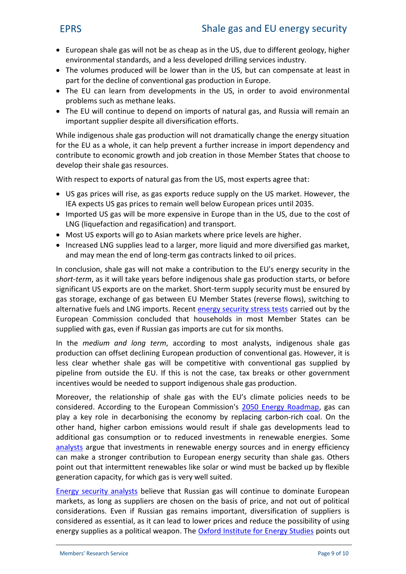- ð Europ**saa**le gas will not be as, coneeapto as iifne the ent UgS eology, h environmental satrada desols devobrilloipsend visioned ustry.
- ð The volupmoedsu oweidd be lower thanbuitnatomoom bloSn saatbe ast in part for the decline of convention Eugeperoduction
- ð The Ucantearn from developments in the US, in order to a probles such as methane leaks.
- ð The EU will continue to depend on imports of natural gas important supplier despite all diversification efforts.

While indigenous shale gas production will not dramatically for the as a whole, it can help prevent a further increase in contribute to economic growth haons deejnobe creation in the to develop their shale gas resources.

With respect to  $\theta$  next posits gas the month set experts agree that

- ð US gas prices will rise, as gas exports reducethepply on IE Axpects US gas primedeto well interion pean prices until 2035.
- ð Imported US gas will be more expensive einto Europoeo shaan in LNG (liquefaction and regasification) and transport.
- ð Mosul S exports will go to Asian markets where price levels
- ð Increased LNG esauppolieas larger, more liquid and more divers and nay mean the oneghed rop as ontractived to oil prices

In conclusshiaolne, gas will not make tahe coEndethriae brog tylosneion out htey shoterm as it will take iynedaigse notepilor sephraalde ug aison starts, or befor signifild Sontexpordi**s at meark Sthoterm** supply secure intspunnbewest be gas storage, exchange of gas between EU Member States ( alternative fuels and Reland filter and  $\frac{1}{2}$  in the secure sstatied out by the European Commission choonucsleukdeeldohnsolaiaht MembercSathatbees supplied with gas, even if Russian gas imports are cut for s

In three-diuam d lotregrmaccording to most notaingaelrywosht**lae**, gas production offset declining Europecom wernotoloholoniko equasar, it is less clear whether shale gas will be competitivey with con pipelifmem outside lfhehiEsUis not the case, taxebnemeeknst or oth incentives would be needed to support indigenous shale gas

Moreo, vethree lationss fhisphale gas with the EU's seed is natioe be peolicie considercecob.roA ing to the Europea2n0.5000 mEnneissaivo.nPdgaasdronaanp plasy key role in decarbonis.bnygrehpela**e**cno**grognavico@**h the other hand, higher carboon reensius listions the demogenerisd  $\det \bm{v}$  and  $\bm{v}$ additiognees nosoum ption or to reduced investments Soimmerenewab [analy](http://www.ecofys.com/en/publication/increasing-the-eus-energy-independence)atgue that investments in renewable energy sources a can make magstr contribution to European energy security th point out that intermittent renewables like solar or wind mu generation capacity, for which gas is very well suited.

[Energy securi](http://www.brookings.edu/research/opinions/2014/02/24-russian-natural-gas-european-markets-boersma-greving)the aireale stibeat Russian gas will continue to do markets, as long as suppliers are chosen on the basis of p considerativens. if Russian gas remains important, diversification considense dessenatialt can lead to lower prices and reduce the energy supplies as a pol $\Omega$ xéal dweasptotnute finer ponientosy o Suttudies